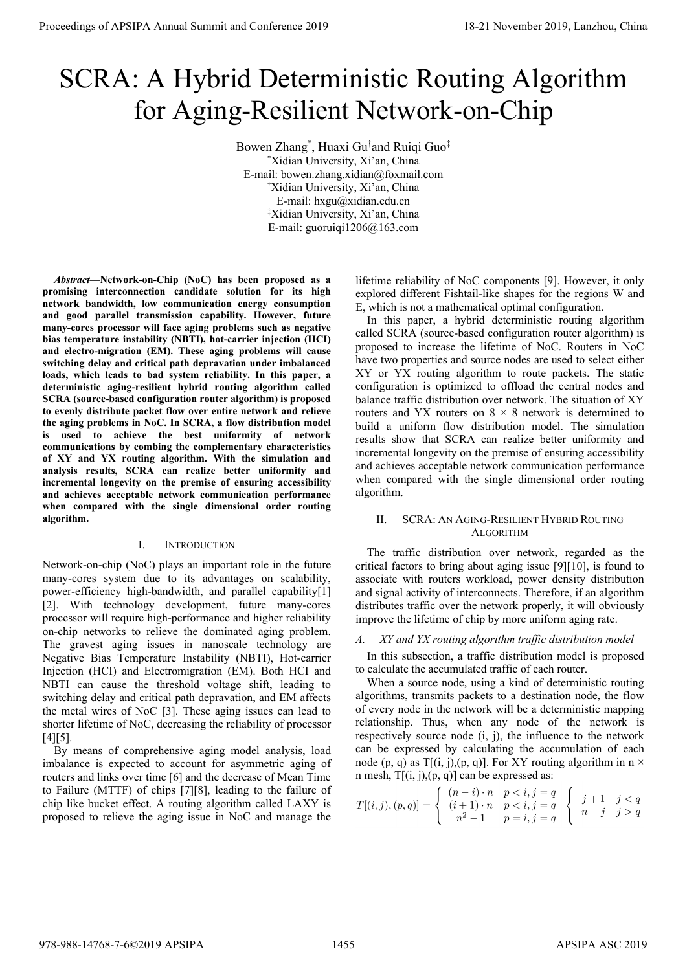# SCRA: A Hybrid Deterministic Routing Algorithm for Aging-Resilient Network-on-Chip

Bowen Zhang<sup>\*</sup>, Huaxi Gu<sup>†</sup>and Ruiqi Guo<sup>‡</sup> \* Xidian University, Xi'an, China E-mail: bowen.zhang.xidian@foxmail.com † Xidian University, Xi'an, China E-mail: hxgu@xidian.edu.cn ‡ Xidian University, Xi'an, China E-mail: guoruiqi1206@163.com

*Abstract***—Network-on-Chip (NoC) has been proposed as a promising interconnection candidate solution for its high network bandwidth, low communication energy consumption and good parallel transmission capability. However, future many-cores processor will face aging problems such as negative bias temperature instability (NBTI), hot-carrier injection (HCI) and electro-migration (EM). These aging problems will cause switching delay and critical path depravation under imbalanced loads, which leads to bad system reliability. In this paper, a deterministic aging-resilient hybrid routing algorithm called SCRA (source-based configuration router algorithm) is proposed to evenly distribute packet flow over entire network and relieve the aging problems in NoC. In SCRA, a flow distribution model is used to achieve the best uniformity of network communications by combing the complementary characteristics of XY and YX routing algorithm. With the simulation and analysis results, SCRA can realize better uniformity and incremental longevity on the premise of ensuring accessibility and achieves acceptable network communication performance when compared with the single dimensional order routing algorithm.**  Proceedings of APSIPA Annual Summit of Co-Co-CASS)<br>
SCRA: A Hybrid Deterministic Routing Algorithms<br>
for Agring-Resident Network-on-China 978-988-1488-7-608-1488-7-608-1488-7-608-1488-7-608-1488-7-608-1488-7-608-1488-7-60

## I. INTRODUCTION

Network-on-chip (NoC) plays an important role in the future many-cores system due to its advantages on scalability, power-efficiency high-bandwidth, and parallel capability[1] [2]. With technology development, future many-cores processor will require high-performance and higher reliability on-chip networks to relieve the dominated aging problem. The gravest aging issues in nanoscale technology are Negative Bias Temperature Instability (NBTI), Hot-carrier Injection (HCI) and Electromigration (EM). Both HCI and NBTI can cause the threshold voltage shift, leading to switching delay and critical path depravation, and EM affects the metal wires of NoC [3]. These aging issues can lead to shorter lifetime of NoC, decreasing the reliability of processor  $[4]$ [5].

By means of comprehensive aging model analysis, load imbalance is expected to account for asymmetric aging of routers and links over time [6] and the decrease of Mean Time to Failure (MTTF) of chips [7][8], leading to the failure of chip like bucket effect. A routing algorithm called LAXY is proposed to relieve the aging issue in NoC and manage the lifetime reliability of NoC components [9]. However, it only explored different Fishtail-like shapes for the regions W and E, which is not a mathematical optimal configuration.

In this paper, a hybrid deterministic routing algorithm called SCRA (source-based configuration router algorithm) is proposed to increase the lifetime of NoC. Routers in NoC have two properties and source nodes are used to select either XY or YX routing algorithm to route packets. The static configuration is optimized to offload the central nodes and balance traffic distribution over network. The situation of XY routers and YX routers on  $8 \times 8$  network is determined to build a uniform flow distribution model. The simulation results show that SCRA can realize better uniformity and incremental longevity on the premise of ensuring accessibility and achieves acceptable network communication performance when compared with the single dimensional order routing algorithm.

# II. SCRA: AN AGING-RESILIENT HYBRID ROUTING ALGORITHM

The traffic distribution over network, regarded as the critical factors to bring about aging issue [9][10], is found to associate with routers workload, power density distribution and signal activity of interconnects. Therefore, if an algorithm distributes traffic over the network properly, it will obviously improve the lifetime of chip by more uniform aging rate.

# *A. XY and YX routing algorithm traffic distribution model*

In this subsection, a traffic distribution model is proposed to calculate the accumulated traffic of each router.

When a source node, using a kind of deterministic routing algorithms, transmits packets to a destination node, the flow of every node in the network will be a deterministic mapping relationship. Thus, when any node of the network is respectively source node (i, j), the influence to the network can be expressed by calculating the accumulation of each node (p, q) as T[(i, j),(p, q)]. For XY routing algorithm in n  $\times$ n mesh, T[(i, j),(p, q)] can be expressed as:

$$
T[(i,j),(p,q)] = \begin{cases} (n-i) \cdot n & p < i, j = q \\ (i+1) \cdot n & p < i, j = q \\ n^2 - 1 & p = i, j = q \end{cases} \begin{cases} j+1 & j < q \\ n-j & j > q \end{cases}
$$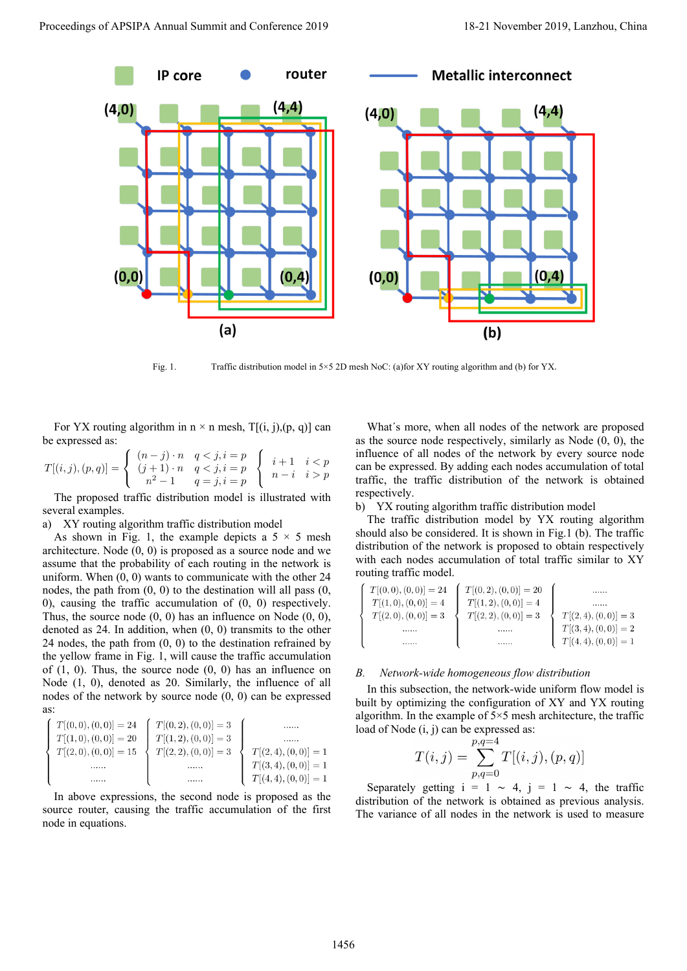

Fig. 1. Traffic distribution model in 5×5 2D mesh NoC: (a)for XY routing algorithm and (b) for YX.

For YX routing algorithm in  $n \times n$  mesh,  $T[(i, j), (p, q)]$  can be expressed as:

$$
T[(i,j),(p,q)] = \begin{cases} (n-j) \cdot n & q < j, i = p \\ (j+1) \cdot n & q < j, i = p \\ n^2 - 1 & q = j, i = p \end{cases} \begin{cases} i+1 & i < p \\ n-i & i > p \end{cases}
$$

The proposed traffic distribution model is illustrated with several examples.

a) XY routing algorithm traffic distribution model

As shown in Fig. 1, the example depicts a  $5 \times 5$  mesh architecture. Node (0, 0) is proposed as a source node and we assume that the probability of each routing in the network is uniform. When  $(0, 0)$  wants to communicate with the other 24 nodes, the path from (0, 0) to the destination will all pass (0, 0), causing the traffic accumulation of (0, 0) respectively. Thus, the source node  $(0, 0)$  has an influence on Node  $(0, 0)$ , denoted as 24. In addition, when (0, 0) transmits to the other 24 nodes, the path from  $(0, 0)$  to the destination refrained by the yellow frame in Fig. 1, will cause the traffic accumulation of  $(1, 0)$ . Thus, the source node  $(0, 0)$  has an influence on Node (1, 0), denoted as 20. Similarly, the influence of all nodes of the network by source node (0, 0) can be expressed as:

In above expressions, the second node is proposed as the source router, causing the traffic accumulation of the first node in equations.

What´s more, when all nodes of the network are proposed as the source node respectively, similarly as Node (0, 0), the influence of all nodes of the network by every source node can be expressed. By adding each nodes accumulation of total traffic, the traffic distribution of the network is obtained respectively.

b) YX routing algorithm traffic distribution model

The traffic distribution model by YX routing algorithm should also be considered. It is shown in Fig.1 (b). The traffic distribution of the network is proposed to obtain respectively with each nodes accumulation of total traffic similar to XY routing traffic model.

| $T[(0,0), (0,0)] = 24$ | $T[(0,2),(0,0)]=20$ |                                                                                      |
|------------------------|---------------------|--------------------------------------------------------------------------------------|
| $T[(1,0),(0,0)]=4$     | $T[(1,2),(0,0)]=4$  |                                                                                      |
| $T[(2,0), (0,0)] = 3$  | $T[(2,2),(0,0)]=3$  |                                                                                      |
|                        |                     | $\begin{split} T[(2,4),(0,0)]=3 \\ T[(3,4),(0,0)]=2 \\ T[(4,4),(0,0)]=1 \end{split}$ |
| .                      |                     |                                                                                      |

#### *B. Network-wide homogeneous flow distribution*

In this subsection, the network-wide uniform flow model is built by optimizing the configuration of XY and YX routing algorithm. In the example of  $5\times 5$  mesh architecture, the traffic load of Node (i, j) can be expressed as:

$$
T(i,j) = \sum_{p,q=0}^{p,q=4} T[(i,j),(p,q)]
$$

Separately getting  $i = 1 \sim 4$ ,  $j = 1 \sim 4$ , the traffic distribution of the network is obtained as previous analysis. The variance of all nodes in the network is used to measure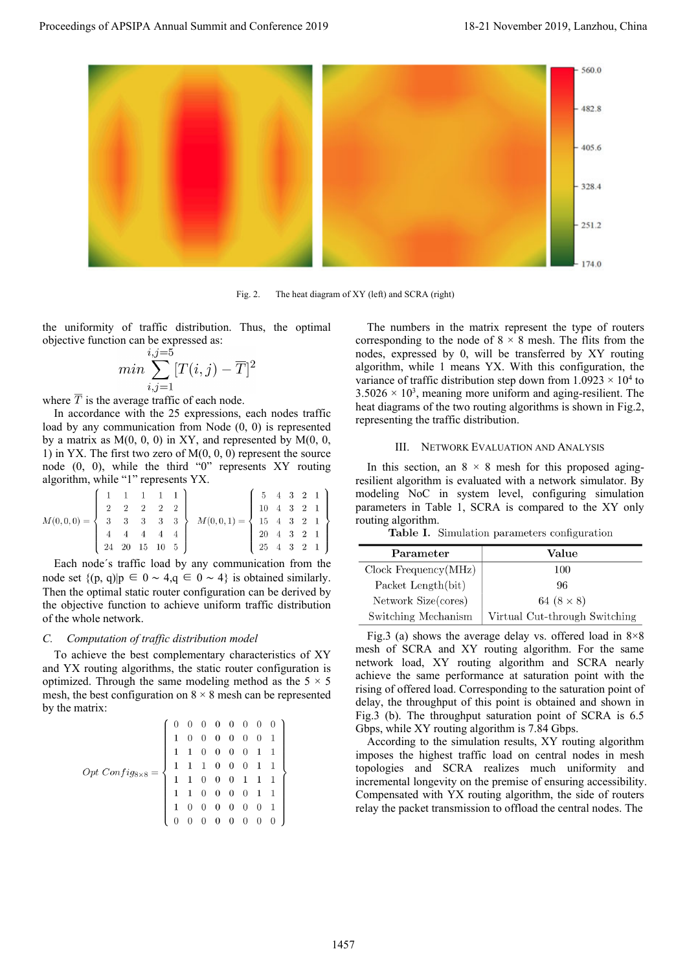

Fig. 2. The heat diagram of XY (left) and SCRA (right)

the uniformity of traffic distribution. Thus, the optimal objective function can be expressed as:

$$
min \sum_{i,j=1}^{i,j=5} [T(i,j)-\overline{T}]^2
$$

where  $\overline{T}$  is the average traffic of each node.

In accordance with the 25 expressions, each nodes traffic load by any communication from Node (0, 0) is represented by a matrix as  $M(0, 0, 0)$  in XY, and represented by  $M(0, 0, 0)$ 1) in YX. The first two zero of  $M(0, 0, 0)$  represent the source node (0, 0), while the third "0" represents XY routing algorithm, while "1" represents YX.

$$
M(0,0,0) = \begin{cases} 1 & 1 & 1 & 1 & 1 \\ 2 & 2 & 2 & 2 & 2 \\ 3 & 3 & 3 & 3 & 3 \\ 4 & 4 & 4 & 4 & 4 \\ 24 & 20 & 15 & 10 & 5 \end{cases} M(0,0,1) = \begin{cases} 5 & 4 & 3 & 2 & 1 \\ 10 & 4 & 3 & 2 & 1 \\ 15 & 4 & 3 & 2 & 1 \\ 20 & 4 & 3 & 2 & 1 \\ 25 & 4 & 3 & 2 & 1 \end{cases}
$$

Each node´s traffic load by any communication from the node set  ${(p, q)|p \in 0 ~ \sim 4, q \in 0 ~ \sim 4}$  is obtained similarly. Then the optimal static router configuration can be derived by the objective function to achieve uniform traffic distribution of the whole network.

## *C. Computation of traffic distribution model*

To achieve the best complementary characteristics of XY and YX routing algorithms, the static router configuration is optimized. Through the same modeling method as the  $5 \times 5$ mesh, the best configuration on  $8 \times 8$  mesh can be represented by the matrix:

$$
Opt\text{ Confi}g_{8\times8} = \left\{\begin{array}{ccccccc} 0 & 0 & 0 & 0 & 0 & 0 & 0 & 0 \\ 1 & 0 & 0 & 0 & 0 & 0 & 0 & 1 \\ 1 & 1 & 0 & 0 & 0 & 0 & 1 & 1 \\ 1 & 1 & 1 & 0 & 0 & 0 & 1 & 1 \\ 1 & 1 & 0 & 0 & 0 & 1 & 1 & 1 \\ 1 & 1 & 0 & 0 & 0 & 0 & 1 & 1 \\ 1 & 0 & 0 & 0 & 0 & 0 & 0 & 1 \\ 0 & 0 & 0 & 0 & 0 & 0 & 0 & 0 \end{array}\right\}
$$

The numbers in the matrix represent the type of routers corresponding to the node of  $8 \times 8$  mesh. The flits from the nodes, expressed by 0, will be transferred by XY routing algorithm, while 1 means YX. With this configuration, the variance of traffic distribution step down from  $1.0923 \times 10^4$  to  $3.5026 \times 10^3$ , meaning more uniform and aging-resilient. The heat diagrams of the two routing algorithms is shown in Fig.2, representing the traffic distribution.

#### III. NETWORK EVALUATION AND ANALYSIS

In this section, an  $8 \times 8$  mesh for this proposed agingresilient algorithm is evaluated with a network simulator. By modeling NoC in system level, configuring simulation parameters in Table 1, SCRA is compared to the XY only routing algorithm.

| Parameter            | Value                         |
|----------------------|-------------------------------|
| Clock Frequency(MHz) | 100                           |
| Packet Length(bit)   | 96                            |
| Network Size(cores)  | 64 $(8 \times 8)$             |
| Switching Mechanism  | Virtual Cut-through Switching |

Fig.3 (a) shows the average delay vs. offered load in  $8\times8$ mesh of SCRA and XY routing algorithm. For the same network load, XY routing algorithm and SCRA nearly achieve the same performance at saturation point with the rising of offered load. Corresponding to the saturation point of delay, the throughput of this point is obtained and shown in Fig.3 (b). The throughput saturation point of SCRA is 6.5 Gbps, while XY routing algorithm is 7.84 Gbps.

According to the simulation results, XY routing algorithm imposes the highest traffic load on central nodes in mesh topologies and SCRA realizes much uniformity and incremental longevity on the premise of ensuring accessibility. Compensated with YX routing algorithm, the side of routers relay the packet transmission to offload the central nodes. The